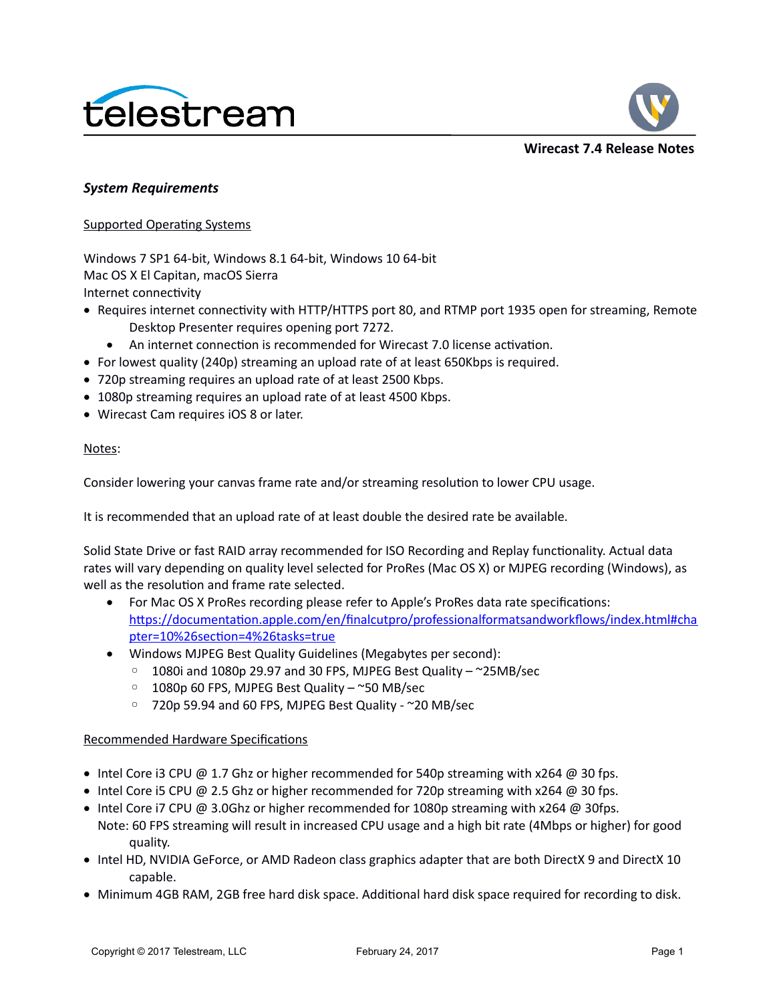



### *System Requirements*

Supported Operating Systems

Windows 7 SP1 64-bit, Windows 8.1 64-bit, Windows 10 64-bit Mac OS X El Capitan, macOS Sierra Internet connectivity

- Requires internet connectivity with HTTP/HTTPS port 80, and RTMP port 1935 open for streaming, Remote Desktop Presenter requires opening port 7272.
	- An internet connection is recommended for Wirecast 7.0 license activation.
- For lowest quality (240p) streaming an upload rate of at least 650Kbps is required.
- 720p streaming requires an upload rate of at least 2500 Kbps.
- 1080p streaming requires an upload rate of at least 4500 Kbps.
- Wirecast Cam requires iOS 8 or later.

### Notes:

Consider lowering your canvas frame rate and/or streaming resolution to lower CPU usage.

It is recommended that an upload rate of at least double the desired rate be available.

Solid State Drive or fast RAID array recommended for ISO Recording and Replay functionality. Actual data rates will vary depending on quality level selected for ProRes (Mac OS X) or MJPEG recording (Windows), as well as the resolution and frame rate selected.

- For Mac OS X ProRes recording please refer to Apple's ProRes data rate specifications: [https://documentation.apple.com/en/finalcutpro/professionalformatsandworkflows/index.html#cha](https://documentation.apple.com/en/finalcutpro/professionalformatsandworkflows/index.html#chapter=10%26section=4%26tasks=true) [pter=10%26section=4%26tasks=true](https://documentation.apple.com/en/finalcutpro/professionalformatsandworkflows/index.html#chapter=10%26section=4%26tasks=true)
- Windows MJPEG Best Quality Guidelines (Megabytes per second):
	- 1080i and 1080p 29.97 and 30 FPS, MJPEG Best Quality ~25MB/sec
	- 1080p 60 FPS, MJPEG Best Quality ~50 MB/sec
	- 720p 59.94 and 60 FPS, MJPEG Best Quality ~20 MB/sec

### Recommended Hardware Specifications

- Intel Core i3 CPU  $@$  1.7 Ghz or higher recommended for 540p streaming with x264  $@$  30 fps.
- Intel Core i5 CPU @ 2.5 Ghz or higher recommended for 720p streaming with  $x264$  @ 30 fps.
- Intel Core i7 CPU @ 3.0Ghz or higher recommended for 1080p streaming with x264 @ 30fps. Note: 60 FPS streaming will result in increased CPU usage and a high bit rate (4Mbps or higher) for good quality.
- Intel HD, NVIDIA GeForce, or AMD Radeon class graphics adapter that are both DirectX 9 and DirectX 10 capable.
- Minimum 4GB RAM, 2GB free hard disk space. Additional hard disk space required for recording to disk.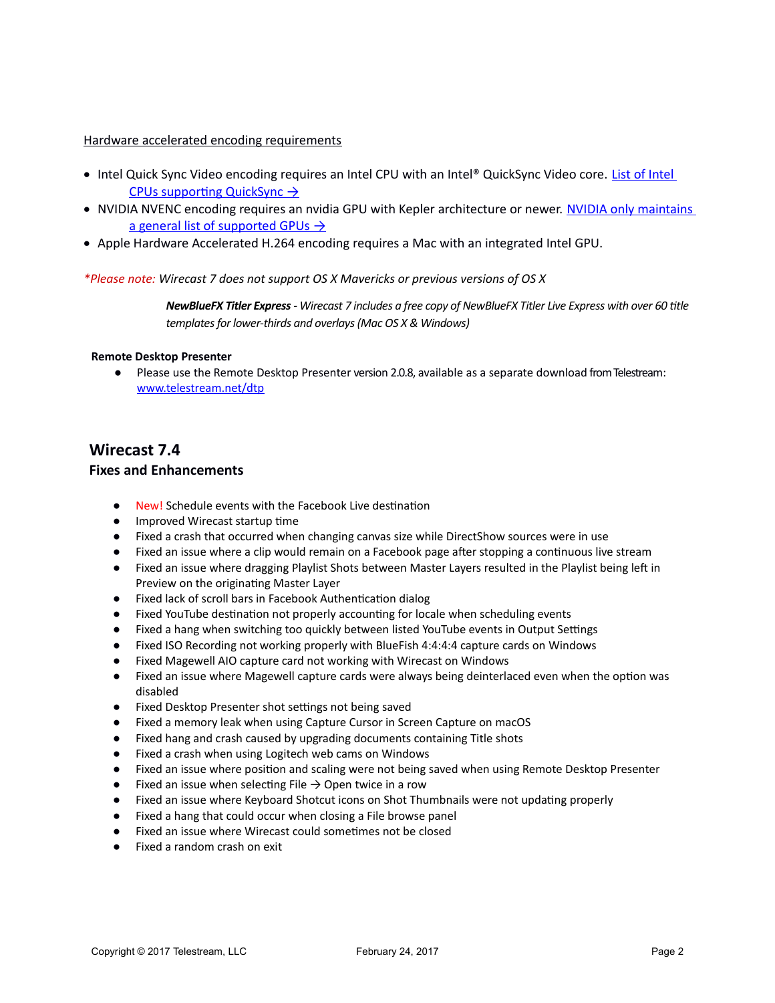### Hardware accelerated encoding requirements

- Intel Quick Sync Video encoding requires an Intel CPU with an Intel® QuickSync Video core. List of Intel  [CPUs supporting QuickSync →](http://ark.intel.com/search/advanced?QuickSyncVideo=true&MarketSegment=DT)
- . NVIDIA NVENC encoding requires an nvidia GPU with Kepler architecture or newer. NVIDIA only maintains a general list of supported GPUs  $\rightarrow$
- Apple Hardware Accelerated H.264 encoding requires a Mac with an integrated Intel GPU.

### *\*Please note: Wirecast 7 does not support OS X Mavericks or previous versions of OS X*

*NewBlueFX Titler Express - Wirecast 7 includes a free copy of NewBlueFX Titler Live Express with over 60 title templates for lower-thirds and overlays (Mac OS X & Windows)*

#### **Remote Desktop Presenter**

● Please use the Remote Desktop Presenter version 2.0.8, available as a separate download from Telestream: www.telestream.net/dtp

## **Wirecast 7.4**

### **Fixes and Enhancements**

- New! Schedule events with the Facebook Live destination
- Improved Wirecast startup time
- Fixed a crash that occurred when changing canvas size while DirectShow sources were in use
- Fixed an issue where a clip would remain on a Facebook page after stopping a continuous live stream
- Fixed an issue where dragging Playlist Shots between Master Layers resulted in the Playlist being left in Preview on the originating Master Layer
- Fixed lack of scroll bars in Facebook Authentication dialog
- Fixed YouTube destination not properly accounting for locale when scheduling events
- Fixed a hang when switching too quickly between listed YouTube events in Output Settings
- Fixed ISO Recording not working properly with BlueFish 4:4:4:4 capture cards on Windows
- Fixed Magewell AIO capture card not working with Wirecast on Windows
- Fixed an issue where Magewell capture cards were always being deinterlaced even when the option was disabled
- Fixed Desktop Presenter shot settings not being saved
- Fixed a memory leak when using Capture Cursor in Screen Capture on macOS
- Fixed hang and crash caused by upgrading documents containing Title shots
- Fixed a crash when using Logitech web cams on Windows
- Fixed an issue where position and scaling were not being saved when using Remote Desktop Presenter
- $\bullet$  Fixed an issue when selecting File  $\rightarrow$  Open twice in a row
- Fixed an issue where Keyboard Shotcut icons on Shot Thumbnails were not updating properly
- Fixed a hang that could occur when closing a File browse panel
- Fixed an issue where Wirecast could sometimes not be closed
- Fixed a random crash on exit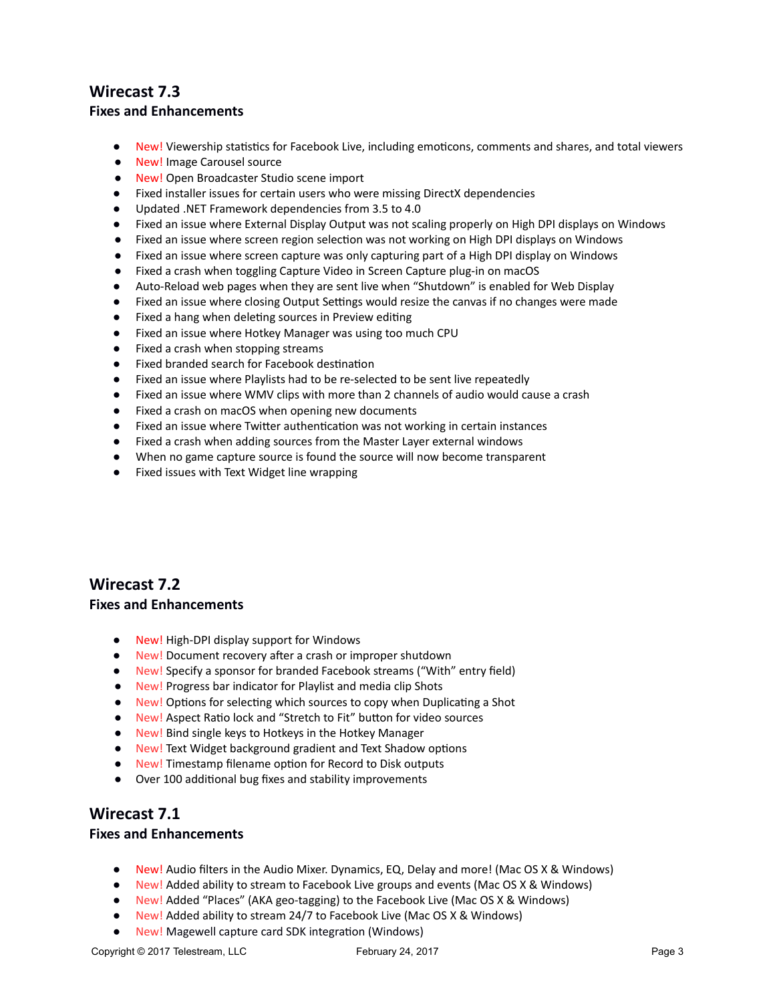# **Wirecast 7.3 Fixes and Enhancements**

- New! Viewership statistics for Facebook Live, including emoticons, comments and shares, and total viewers
- New! Image Carousel source
- New! Open Broadcaster Studio scene import
- Fixed installer issues for certain users who were missing DirectX dependencies
- Updated .NET Framework dependencies from 3.5 to 4.0
- Fixed an issue where External Display Output was not scaling properly on High DPI displays on Windows
- Fixed an issue where screen region selection was not working on High DPI displays on Windows
- Fixed an issue where screen capture was only capturing part of a High DPI display on Windows
- Fixed a crash when toggling Capture Video in Screen Capture plug-in on macOS
- Auto-Reload web pages when they are sent live when "Shutdown" is enabled for Web Display
- Fixed an issue where closing Output Settings would resize the canvas if no changes were made
- Fixed a hang when deleting sources in Preview editing
- Fixed an issue where Hotkey Manager was using too much CPU
- Fixed a crash when stopping streams
- Fixed branded search for Facebook destination
- Fixed an issue where Playlists had to be re-selected to be sent live repeatedly
- Fixed an issue where WMV clips with more than 2 channels of audio would cause a crash
- Fixed a crash on macOS when opening new documents
- Fixed an issue where Twitter authentication was not working in certain instances
- Fixed a crash when adding sources from the Master Layer external windows
- When no game capture source is found the source will now become transparent
- Fixed issues with Text Widget line wrapping

# **Wirecast 7.2**

### **Fixes and Enhancements**

- New! High-DPI display support for Windows
- New! Document recovery after a crash or improper shutdown
- New! Specify a sponsor for branded Facebook streams ("With" entry field)
- New! Progress bar indicator for Playlist and media clip Shots
- New! Options for selecting which sources to copy when Duplicating a Shot
- New! Aspect Ratio lock and "Stretch to Fit" button for video sources
- New! Bind single keys to Hotkeys in the Hotkey Manager
- New! Text Widget background gradient and Text Shadow options
- New! Timestamp filename option for Record to Disk outputs
- Over 100 additional bug fixes and stability improvements

# **Wirecast 7.1**

### **Fixes and Enhancements**

- New! Audio filters in the Audio Mixer. Dynamics, EQ, Delay and more! (Mac OS X & Windows)
- New! Added ability to stream to Facebook Live groups and events (Mac OS X & Windows)
- New! Added "Places" (AKA geo-tagging) to the Facebook Live (Mac OS X & Windows)
- New! Added ability to stream 24/7 to Facebook Live (Mac OS X & Windows)
- New! Magewell capture card SDK integration (Windows)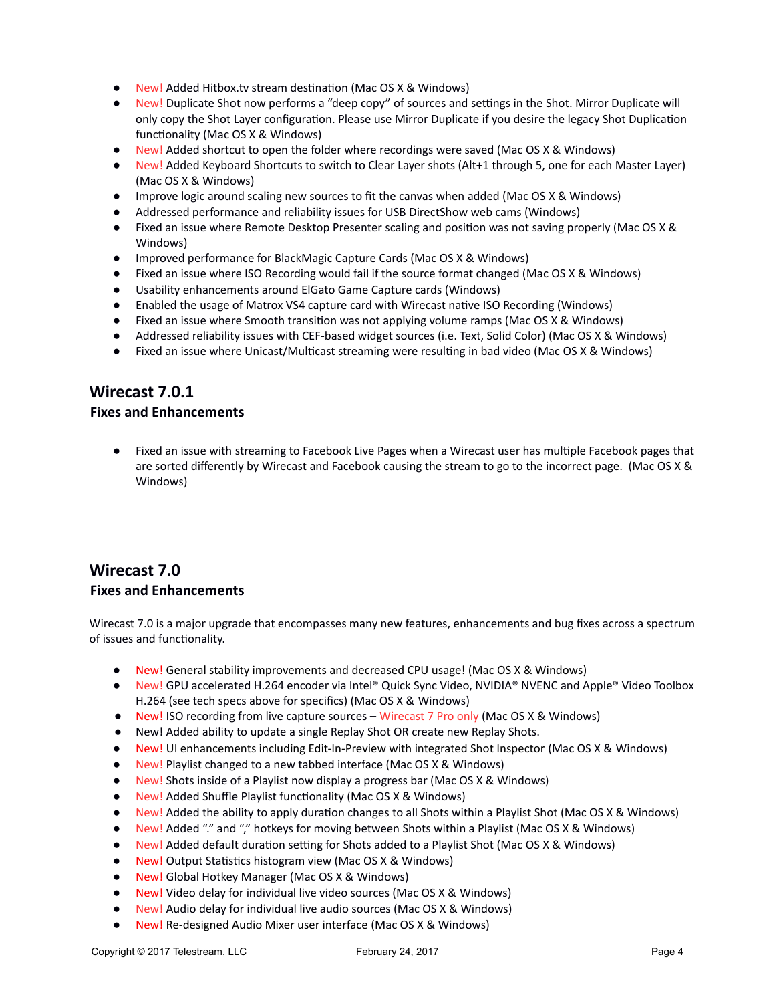- New! Added Hitbox.tv stream destination (Mac OS X & Windows)
- New! Duplicate Shot now performs a "deep copy" of sources and settings in the Shot. Mirror Duplicate will only copy the Shot Layer configuration. Please use Mirror Duplicate if you desire the legacy Shot Duplication functionality (Mac OS X & Windows)
- New! Added shortcut to open the folder where recordings were saved (Mac OS X & Windows)
- New! Added Keyboard Shortcuts to switch to Clear Layer shots (Alt+1 through 5, one for each Master Layer) (Mac OS X & Windows)
- Improve logic around scaling new sources to fit the canvas when added (Mac OS X & Windows)
- Addressed performance and reliability issues for USB DirectShow web cams (Windows)
- Fixed an issue where Remote Desktop Presenter scaling and position was not saving properly (Mac OS X & Windows)
- Improved performance for BlackMagic Capture Cards (Mac OS X & Windows)
- Fixed an issue where ISO Recording would fail if the source format changed (Mac OS X & Windows)
- Usability enhancements around ElGato Game Capture cards (Windows)
- Enabled the usage of Matrox VS4 capture card with Wirecast native ISO Recording (Windows)
- Fixed an issue where Smooth transition was not applying volume ramps (Mac OS X & Windows)
- Addressed reliability issues with CEF-based widget sources (i.e. Text, Solid Color) (Mac OS X & Windows)
- Fixed an issue where Unicast/Multicast streaming were resulting in bad video (Mac OS X & Windows)

# **Wirecast 7.0.1**

### **Fixes and Enhancements**

Fixed an issue with streaming to Facebook Live Pages when a Wirecast user has multiple Facebook pages that are sorted differently by Wirecast and Facebook causing the stream to go to the incorrect page. (Mac OS X & Windows)

# **Wirecast 7.0 Fixes and Enhancements**

Wirecast 7.0 is a major upgrade that encompasses many new features, enhancements and bug fixes across a spectrum of issues and functionality.

- New! General stability improvements and decreased CPU usage! (Mac OS X & Windows)
- New! GPU accelerated H.264 encoder via Intel® Quick Sync Video, NVIDIA® NVENC and Apple® Video Toolbox H.264 (see tech specs above for specifics) (Mac OS X & Windows)
- New! ISO recording from live capture sources Wirecast 7 Pro only (Mac OS X & Windows)
- New! Added ability to update a single Replay Shot OR create new Replay Shots.
- New! UI enhancements including Edit-In-Preview with integrated Shot Inspector (Mac OS X & Windows)
- New! Playlist changed to a new tabbed interface (Mac OS X & Windows)
- New! Shots inside of a Playlist now display a progress bar (Mac OS X & Windows)
- New! Added Shuffle Playlist functionality (Mac OS X & Windows)
- New! Added the ability to apply duration changes to all Shots within a Playlist Shot (Mac OS X & Windows)
- New! Added "." and "," hotkeys for moving between Shots within a Playlist (Mac OS X & Windows)
- New! Added default duration setting for Shots added to a Playlist Shot (Mac OS X & Windows)
- New! Output Statistics histogram view (Mac OS X & Windows)
- New! Global Hotkey Manager (Mac OS X & Windows)
- New! Video delay for individual live video sources (Mac OS X & Windows)
- New! Audio delay for individual live audio sources (Mac OS X & Windows)
- New! Re-designed Audio Mixer user interface (Mac OS X & Windows)